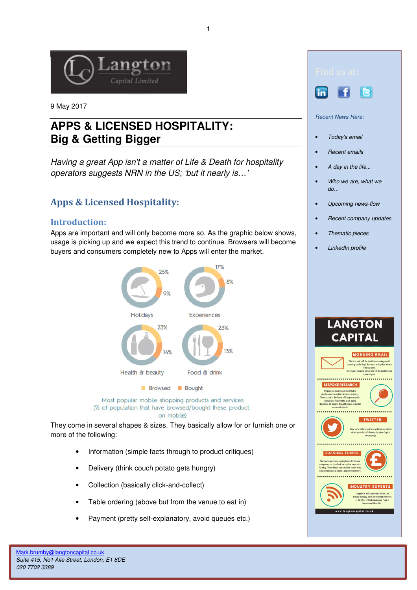

9 May 2017

# **APPS & LICENSED HOSPITALITY: Big & Getting Bigger**

Having a great App isn't a matter of Life & Death for hospitality operators suggests NRN in the US; 'but it nearly is…'

# Apps & Licensed Hospitality:

## Introduction:

Apps are important and will only become more so. As the graphic below shows, usage is picking up and we expect this trend to continue. Browsers will become buyers and consumers completely new to Apps will enter the market.



Most popular mobile shopping products and services

(% of population that have browsed/bought these product on mobile)

They come in several shapes & sizes. They basically allow for or furnish one or more of the following:

- Information (simple facts through to product critiques)
- Delivery (think couch potato gets hungry)
- Collection (basically click-and-collect)
- Table ordering (above but from the venue to eat in)
- Payment (pretty self-explanatory, avoid queues etc.)





Recent News Here:

- Today's email
- Recent emails
- A day in the life...
- Who we are, what we do...
- Upcoming news-flow
- Recent company updates
- Thematic pieces
- LinkedIn profile

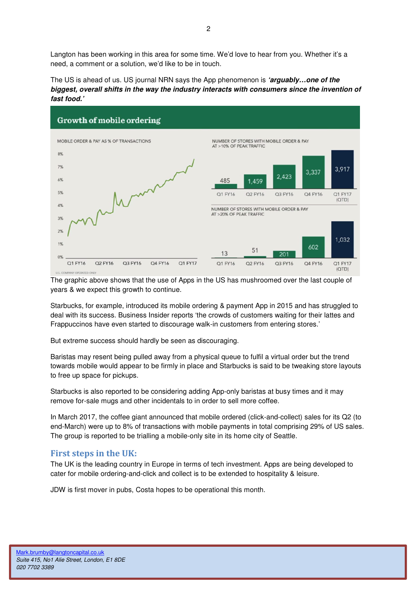Langton has been working in this area for some time. We'd love to hear from you. Whether it's a need, a comment or a solution, we'd like to be in touch.

The US is ahead of us. US journal NRN says the App phenomenon is **'arguably…one of the biggest, overall shifts in the way the industry interacts with consumers since the invention of fast food.'** 



The graphic above shows that the use of Apps in the US has mushroomed over the last couple of years & we expect this growth to continue.

Starbucks, for example, introduced its mobile ordering & payment App in 2015 and has struggled to deal with its success. Business Insider reports 'the crowds of customers waiting for their lattes and Frappuccinos have even started to discourage walk-in customers from entering stores.'

But extreme success should hardly be seen as discouraging.

Baristas may resent being pulled away from a physical queue to fulfil a virtual order but the trend towards mobile would appear to be firmly in place and Starbucks is said to be tweaking store layouts to free up space for pickups.

Starbucks is also reported to be considering adding App-only baristas at busy times and it may remove for-sale mugs and other incidentals to in order to sell more coffee.

In March 2017, the coffee giant announced that mobile ordered (click-and-collect) sales for its Q2 (to end-March) were up to 8% of transactions with mobile payments in total comprising 29% of US sales. The group is reported to be trialling a mobile-only site in its home city of Seattle.

#### First steps in the UK:

The UK is the leading country in Europe in terms of tech investment. Apps are being developed to cater for mobile ordering-and-click and collect is to be extended to hospitality & leisure.

JDW is first mover in pubs, Costa hopes to be operational this month.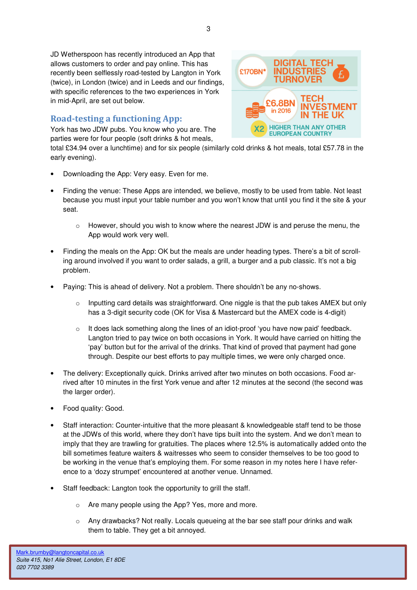JD Wetherspoon has recently introduced an App that allows customers to order and pay online. This has recently been selflessly road-tested by Langton in York (twice), in London (twice) and in Leeds and our findings, with specific references to the two experiences in York in mid-April, are set out below.

# Road-testing a functioning App:

York has two JDW pubs. You know who you are. The parties were for four people (soft drinks & hot meals,

total £34.94 over a lunchtime) and for six people (similarly cold drinks & hot meals, total £57.78 in the early evening).

- Downloading the App: Very easy. Even for me.
- Finding the venue: These Apps are intended, we believe, mostly to be used from table. Not least because you must input your table number and you won't know that until you find it the site & your seat.
	- However, should you wish to know where the nearest JDW is and peruse the menu, the App would work very well.
- Finding the meals on the App: OK but the meals are under heading types. There's a bit of scrolling around involved if you want to order salads, a grill, a burger and a pub classic. It's not a big problem.
- Paying: This is ahead of delivery. Not a problem. There shouldn't be any no-shows.
	- $\circ$  Inputting card details was straightforward. One niggle is that the pub takes AMEX but only has a 3-digit security code (OK for Visa & Mastercard but the AMEX code is 4-digit)
	- $\circ$  It does lack something along the lines of an idiot-proof 'you have now paid' feedback. Langton tried to pay twice on both occasions in York. It would have carried on hitting the 'pay' button but for the arrival of the drinks. That kind of proved that payment had gone through. Despite our best efforts to pay multiple times, we were only charged once.
- The delivery: Exceptionally quick. Drinks arrived after two minutes on both occasions. Food arrived after 10 minutes in the first York venue and after 12 minutes at the second (the second was the larger order).
- Food quality: Good.
- Staff interaction: Counter-intuitive that the more pleasant & knowledgeable staff tend to be those at the JDWs of this world, where they don't have tips built into the system. And we don't mean to imply that they are trawling for gratuities. The places where 12.5% is automatically added onto the bill sometimes feature waiters & waitresses who seem to consider themselves to be too good to be working in the venue that's employing them. For some reason in my notes here I have reference to a 'dozy strumpet' encountered at another venue. Unnamed.
- Staff feedback: Langton took the opportunity to grill the staff.
	- o Are many people using the App? Yes, more and more.
	- $\circ$  Any drawbacks? Not really. Locals queueing at the bar see staff pour drinks and walk them to table. They get a bit annoyed.

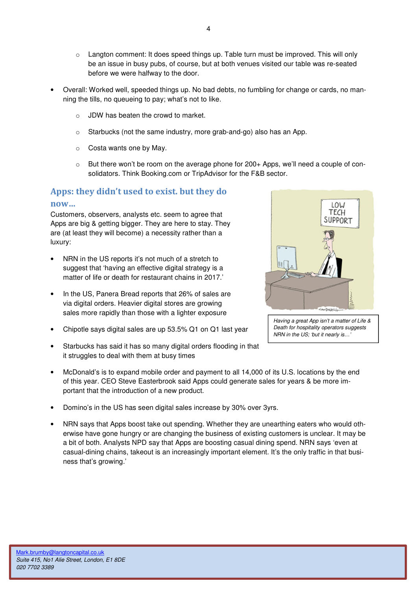- $\circ$  Langton comment: It does speed things up. Table turn must be improved. This will only be an issue in busy pubs, of course, but at both venues visited our table was re-seated before we were halfway to the door.
- Overall: Worked well, speeded things up. No bad debts, no fumbling for change or cards, no manning the tills, no queueing to pay; what's not to like.
	- o JDW has beaten the crowd to market.
	- o Starbucks (not the same industry, more grab-and-go) also has an App.
	- o Costa wants one by May.
	- $\circ$  But there won't be room on the average phone for 200+ Apps, we'll need a couple of consolidators. Think Booking.com or TripAdvisor for the F&B sector.

# Apps: they didn't used to exist. but they do

#### now…

Customers, observers, analysts etc. seem to agree that Apps are big & getting bigger. They are here to stay. They are (at least they will become) a necessity rather than a luxury:

- NRN in the US reports it's not much of a stretch to suggest that 'having an effective digital strategy is a matter of life or death for restaurant chains in 2017.'
- In the US, Panera Bread reports that 26% of sales are via digital orders. Heavier digital stores are growing sales more rapidly than those with a lighter exposure
- Chipotle says digital sales are up 53.5% Q1 on Q1 last year
- Starbucks has said it has so many digital orders flooding in that it struggles to deal with them at busy times
- McDonald's is to expand mobile order and payment to all 14,000 of its U.S. locations by the end of this year. CEO Steve Easterbrook said Apps could generate sales for years & be more important that the introduction of a new product.
- Domino's in the US has seen digital sales increase by 30% over 3yrs.
- NRN says that Apps boost take out spending. Whether they are unearthing eaters who would otherwise have gone hungry or are changing the business of existing customers is unclear. It may be a bit of both. Analysts NPD say that Apps are boosting casual dining spend. NRN says 'even at casual-dining chains, takeout is an increasingly important element. It's the only traffic in that business that's growing.'



Having a great App isn't a matter of Life & Death for hospitality operators suggests NRN in the US; 'but it nearly is…'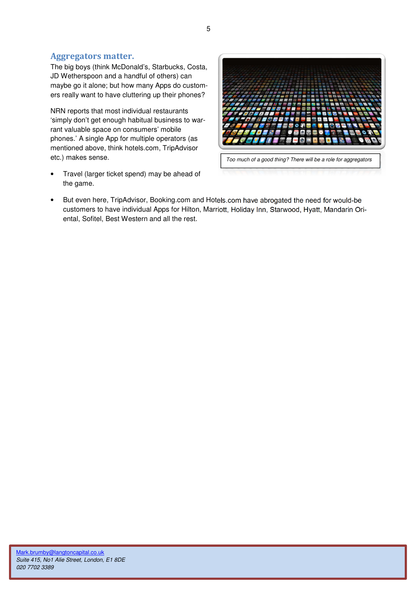## Aggregators matter.

The big boys (think McDonald's, Starbucks, Costa, JD Wetherspoon and a handful of others) can maybe go it alone; but how many Apps do customers really want to have cluttering up their phones?

NRN reports that most individual restaurants 'simply don't get enough habitual business to warrant valuable space on consumers' mobile phones.' A single App for multiple operators (as mentioned above, think hotels.com, TripAdvisor etc.) makes sense.





• But even here, TripAdvisor, Booking.com and Hotels.com have abrogated the need for would-be customers to have individual Apps for Hilton, Marriott, Holiday Inn, Starwood, Hyatt, Mandarin Oriental, Sofitel, Best Western and all the rest.